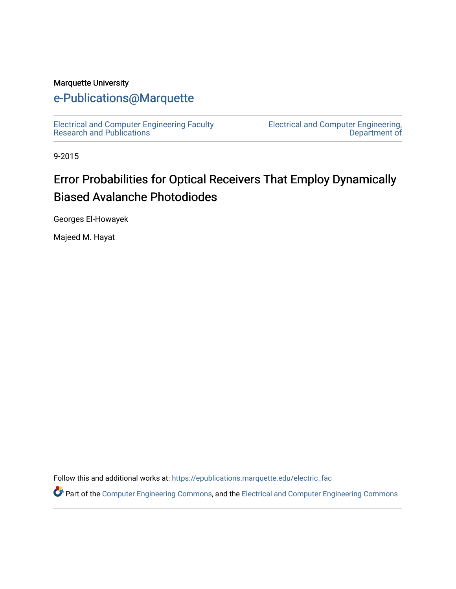#### Marquette University

# [e-Publications@Marquette](https://epublications.marquette.edu/)

[Electrical and Computer Engineering Faculty](https://epublications.marquette.edu/electric_fac) [Research and Publications](https://epublications.marquette.edu/electric_fac) 

[Electrical and Computer Engineering,](https://epublications.marquette.edu/electric)  [Department of](https://epublications.marquette.edu/electric) 

9-2015

# Error Probabilities for Optical Receivers That Employ Dynamically Biased Avalanche Photodiodes

Georges El-Howayek

Majeed M. Hayat

Follow this and additional works at: [https://epublications.marquette.edu/electric\\_fac](https://epublications.marquette.edu/electric_fac?utm_source=epublications.marquette.edu%2Felectric_fac%2F560&utm_medium=PDF&utm_campaign=PDFCoverPages) 

Part of the [Computer Engineering Commons,](http://network.bepress.com/hgg/discipline/258?utm_source=epublications.marquette.edu%2Felectric_fac%2F560&utm_medium=PDF&utm_campaign=PDFCoverPages) and the [Electrical and Computer Engineering Commons](http://network.bepress.com/hgg/discipline/266?utm_source=epublications.marquette.edu%2Felectric_fac%2F560&utm_medium=PDF&utm_campaign=PDFCoverPages)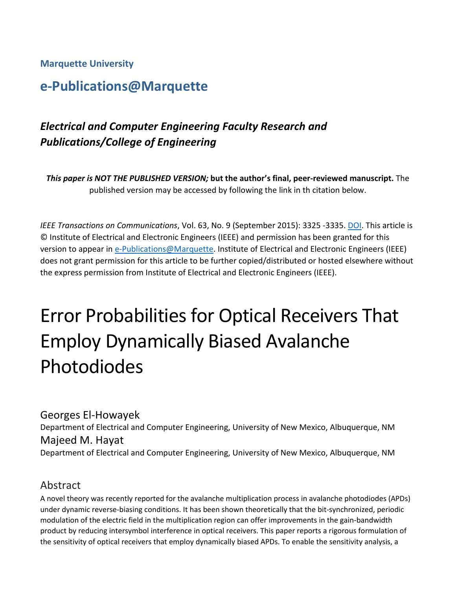**Marquette University**

# **e-Publications@Marquette**

# *Electrical and Computer Engineering Faculty Research and Publications/College of Engineering*

*This paper is NOT THE PUBLISHED VERSION;* **but the author's final, peer-reviewed manuscript.** The published version may be accessed by following the link in th citation below.

*IEEE Transactions on Communications*, Vol. 63, No. 9 (September 2015): 3325 -3335. [DOI.](https://doi.org/10.1109/TCOMM.2015.2457923) This article is © Institute of Electrical and Electronic Engineers (IEEE) and permission has been granted for this version to appear in [e-Publications@Marquette.](http://epublications.marquette.edu/) Institute of Electrical and Electronic Engineers (IEEE) does not grant permission for this article to be further copied/distributed or hosted elsewhere without the express permission from Institute of Electrical and Electronic Engineers (IEEE).

# Error Probabilities for Optical Receivers That Employ Dynamically Biased Avalanche Photodiodes

Georges El-Howayek Department of Electrical and Computer Engineering, University of New Mexico, Albuquerque, NM Majeed M. Hayat Department of Electrical and Computer Engineering, University of New Mexico, Albuquerque, NM

### Abstract

A novel theory was recently reported for the avalanche multiplication process in avalanche photodiodes (APDs) under dynamic reverse-biasing conditions. It has been shown theoretically that the bit-synchronized, periodic modulation of the electric field in the multiplication region can offer improvements in the gain-bandwidth product by reducing intersymbol interference in optical receivers. This paper reports a rigorous formulation of the sensitivity of optical receivers that employ dynamically biased APDs. To enable the sensitivity analysis, a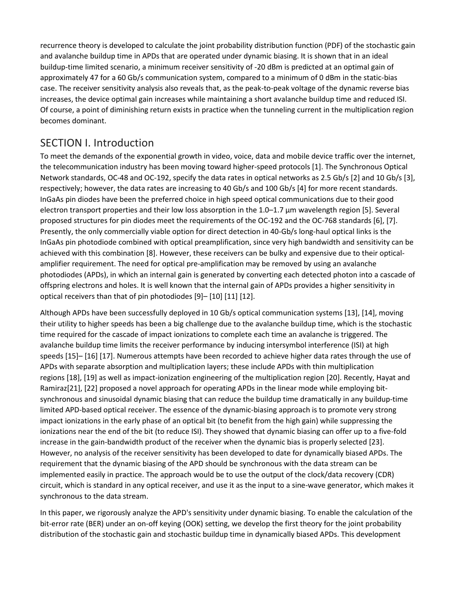recurrence theory is developed to calculate the joint probability distribution function (PDF) of the stochastic gain and avalanche buildup time in APDs that are operated under dynamic biasing. It is shown that in an ideal buildup-time limited scenario, a minimum receiver sensitivity of -20 dBm is predicted at an optimal gain of approximately 47 for a 60 Gb/s communication system, compared to a minimum of 0 dBm in the static-bias case. The receiver sensitivity analysis also reveals that, as the peak-to-peak voltage of the dynamic reverse bias increases, the device optimal gain increases while maintaining a short avalanche buildup time and reduced ISI. Of course, a point of diminishing return exists in practice when the tunneling current in the multiplication region becomes dominant.

### SECTION I. Introduction

To meet the demands of the exponential growth in video, voice, data and mobile device traffic over the internet, the telecommunication industry has been moving toward higher-speed protocols [1]. The Synchronous Optical Network standards, OC-48 and OC-192, specify the data rates in optical networks as 2.5 Gb/s [2] and 10 Gb/s [3], respectively; however, the data rates are increasing to 40 Gb/s and 100 Gb/s [4] for more recent standards. InGaAs pin diodes have been the preferred choice in high speed optical communications due to their good electron transport properties and their low loss absorption in the 1.0–1.7 μm wavelength region [5]. Several proposed structures for pin diodes meet the requirements of the OC-192 and the OC-768 standards [6], [7]. Presently, the only commercially viable option for direct detection in 40-Gb/s long-haul optical links is the InGaAs pin photodiode combined with optical preamplification, since very high bandwidth and sensitivity can be achieved with this combination [8]. However, these receivers can be bulky and expensive due to their opticalamplifier requirement. The need for optical pre-amplification may be removed by using an avalanche photodiodes (APDs), in which an internal gain is generated by converting each detected photon into a cascade of offspring electrons and holes. It is well known that the internal gain of APDs provides a higher sensitivity in optical receivers than that of pin photodiodes [9]– [10] [11] [12].

Although APDs have been successfully deployed in 10 Gb/s optical communication systems [13], [14], moving their utility to higher speeds has been a big challenge due to the avalanche buildup time, which is the stochastic time required for the cascade of impact ionizations to complete each time an avalanche is triggered. The avalanche buildup time limits the receiver performance by inducing intersymbol interference (ISI) at high speeds [15]– [16] [17]. Numerous attempts have been recorded to achieve higher data rates through the use of APDs with separate absorption and multiplication layers; these include APDs with thin multiplication regions [18], [19] as well as impact-ionization engineering of the multiplication region [20]. Recently, Hayat and Ramiraz[21], [22] proposed a novel approach for operating APDs in the linear mode while employing bitsynchronous and sinusoidal dynamic biasing that can reduce the buildup time dramatically in any buildup-time limited APD-based optical receiver. The essence of the dynamic-biasing approach is to promote very strong impact ionizations in the early phase of an optical bit (to benefit from the high gain) while suppressing the ionizations near the end of the bit (to reduce ISI). They showed that dynamic biasing can offer up to a five-fold increase in the gain-bandwidth product of the receiver when the dynamic bias is properly selected [23]. However, no analysis of the receiver sensitivity has been developed to date for dynamically biased APDs. The requirement that the dynamic biasing of the APD should be synchronous with the data stream can be implemented easily in practice. The approach would be to use the output of the clock/data recovery (CDR) circuit, which is standard in any optical receiver, and use it as the input to a sine-wave generator, which makes it synchronous to the data stream.

In this paper, we rigorously analyze the APD's sensitivity under dynamic biasing. To enable the calculation of the bit-error rate (BER) under an on-off keying (OOK) setting, we develop the first theory for the joint probability distribution of the stochastic gain and stochastic buildup time in dynamically biased APDs. This development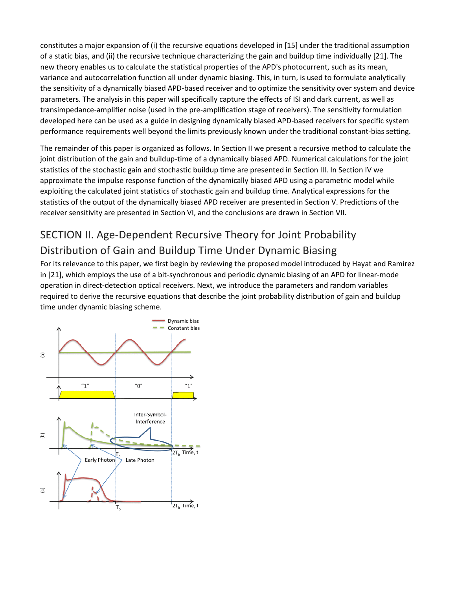constitutes a major expansion of (i) the recursive equations developed in [15] under the traditional assumption of a static bias, and (ii) the recursive technique characterizing the gain and buildup time individually [21]. The new theory enables us to calculate the statistical properties of the APD's photocurrent, such as its mean, variance and autocorrelation function all under dynamic biasing. This, in turn, is used to formulate analytically the sensitivity of a dynamically biased APD-based receiver and to optimize the sensitivity over system and device parameters. The analysis in this paper will specifically capture the effects of ISI and dark current, as well as transimpedance-amplifier noise (used in the pre-amplification stage of receivers). The sensitivity formulation developed here can be used as a guide in designing dynamically biased APD-based receivers for specific system performance requirements well beyond the limits previously known under the traditional constant-bias setting.

The remainder of this paper is organized as follows. In Section II we present a recursive method to calculate the joint distribution of the gain and buildup-time of a dynamically biased APD. Numerical calculations for the joint statistics of the stochastic gain and stochastic buildup time are presented in Section III. In Section IV we approximate the impulse response function of the dynamically biased APD using a parametric model while exploiting the calculated joint statistics of stochastic gain and buildup time. Analytical expressions for the statistics of the output of the dynamically biased APD receiver are presented in Section V. Predictions of the receiver sensitivity are presented in Section VI, and the conclusions are drawn in Section VII.

# SECTION II. Age-Dependent Recursive Theory for Joint Probability Distribution of Gain and Buildup Time Under Dynamic Biasing

For its relevance to this paper, we first begin by reviewing the proposed model introduced by Hayat and Ramirez in [21], which employs the use of a bit-synchronous and periodic dynamic biasing of an APD for linear-mode operation in direct-detection optical receivers. Next, we introduce the parameters and random variables required to derive the recursive equations that describe the joint probability distribution of gain and buildup time under dynamic biasing scheme.

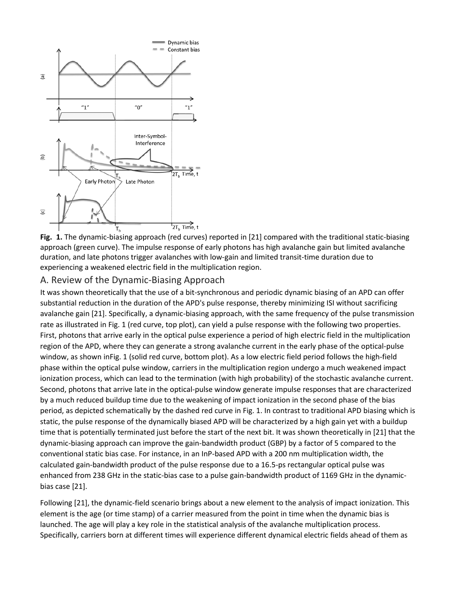

**Fig. 1.** The dynamic-biasing approach (red curves) reported in [21] compared with the traditional static-biasing approach (green curve). The impulse response of early photons has high avalanche gain but limited avalanche duration, and late photons trigger avalanches with low-gain and limited transit-time duration due to experiencing a weakened electric field in the multiplication region.

#### A. Review of the Dynamic-Biasing Approach

It was shown theoretically that the use of a bit-synchronous and periodic dynamic biasing of an APD can offer substantial reduction in the duration of the APD's pulse response, thereby minimizing ISI without sacrificing avalanche gain [21]. Specifically, a dynamic-biasing approach, with the same frequency of the pulse transmission rate as illustrated in Fig. 1 (red curve, top plot), can yield a pulse response with the following two properties. First, photons that arrive early in the optical pulse experience a period of high electric field in the multiplication region of the APD, where they can generate a strong avalanche current in the early phase of the optical-pulse window, as shown inFig. 1 (solid red curve, bottom plot). As a low electric field period follows the high-field phase within the optical pulse window, carriers in the multiplication region undergo a much weakened impact ionization process, which can lead to the termination (with high probability) of the stochastic avalanche current. Second, photons that arrive late in the optical-pulse window generate impulse responses that are characterized by a much reduced buildup time due to the weakening of impact ionization in the second phase of the bias period, as depicted schematically by the dashed red curve in Fig. 1. In contrast to traditional APD biasing which is static, the pulse response of the dynamically biased APD will be characterized by a high gain yet with a buildup time that is potentially terminated just before the start of the next bit. It was shown theoretically in [21] that the dynamic-biasing approach can improve the gain-bandwidth product (GBP) by a factor of 5 compared to the conventional static bias case. For instance, in an InP-based APD with a 200 nm multiplication width, the calculated gain-bandwidth product of the pulse response due to a 16.5-ps rectangular optical pulse was enhanced from 238 GHz in the static-bias case to a pulse gain-bandwidth product of 1169 GHz in the dynamicbias case [21].

Following [21], the dynamic-field scenario brings about a new element to the analysis of impact ionization. This element is the age (or time stamp) of a carrier measured from the point in time when the dynamic bias is launched. The age will play a key role in the statistical analysis of the avalanche multiplication process. Specifically, carriers born at different times will experience different dynamical electric fields ahead of them as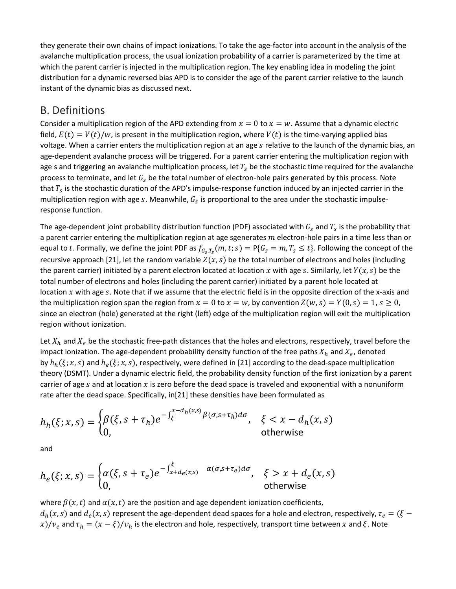they generate their own chains of impact ionizations. To take the age-factor into account in the analysis of the avalanche multiplication process, the usual ionization probability of a carrier is parameterized by the time at which the parent carrier is injected in the multiplication region. The key enabling idea in modeling the joint distribution for a dynamic reversed bias APD is to consider the age of the parent carrier relative to the launch instant of the dynamic bias as discussed next.

### B. Definitions

Consider a multiplication region of the APD extending from  $x = 0$  to  $x = w$ . Assume that a dynamic electric field,  $E(t) = V(t)/w$ , is present in the multiplication region, where  $V(t)$  is the time-varying applied bias voltage. When a carrier enters the multiplication region at an age s relative to the launch of the dynamic bias, an age-dependent avalanche process will be triggered. For a parent carrier entering the multiplication region with age s and triggering an avalanche multiplication process, let  $T_s$  be the stochastic time required for the avalanche process to terminate, and let  $G_s$  be the total number of electron-hole pairs generated by this process. Note that  $T_s$  is the stochastic duration of the APD's impulse-response function induced by an injected carrier in the multiplication region with age s. Meanwhile,  $G_s$  is proportional to the area under the stochastic impulseresponse function.

The age-dependent joint probability distribution function (PDF) associated with  $G_s$  and  $T_s$  is the probability that a parent carrier entering the multiplication region at age sgenerates  $m$  electron-hole pairs in a time less than or equal to t. Formally, we define the joint PDF as  $f_{G_S,T_S}(m,t;s)=P\{G_s=m,T_s\leq t\}.$  Following the concept of the recursive approach [21], let the random variable  $Z(x, s)$  be the total number of electrons and holes (including the parent carrier) initiated by a parent electron located at location x with age s. Similarly, let  $Y(x, s)$  be the total number of electrons and holes (including the parent carrier) initiated by a parent hole located at location  $x$  with age  $s$ . Note that if we assume that the electric field is in the opposite direction of the x-axis and the multiplication region span the region from  $x = 0$  to  $x = w$ , by convention  $Z(w, s) = Y(0, s) = 1, s \ge 0$ , since an electron (hole) generated at the right (left) edge of the multiplication region will exit the multiplication region without ionization.

Let  $X_h$  and  $X_e$  be the stochastic free-path distances that the holes and electrons, respectively, travel before the impact ionization. The age-dependent probability density function of the free paths  $X_h$  and  $X_e$ , denoted by  $h_h(\xi; x, s)$  and  $h_e(\xi; x, s)$ , respectively, were defined in [21] according to the dead-space multiplication theory (DSMT). Under a dynamic electric field, the probability density function of the first ionization by a parent carrier of age  $s$  and at location  $x$  is zero before the dead space is traveled and exponential with a nonuniform rate after the dead space. Specifically, in[21] these densities have been formulated as

$$
h_h(\xi; x, s) = \begin{cases} \beta(\xi, s + \tau_h)e^{-\int_{\xi}^{x - d_h(x, s)} \beta(\sigma, s + \tau_h)d\sigma}, & \xi < x - d_h(x, s) \\ 0, & \text{otherwise} \end{cases}
$$

and

$$
h_e(\xi; x, s) = \begin{cases} \alpha(\xi, s + \tau_e)e^{-\int_{x + d_e(x, s)}^{\xi} \alpha(\sigma, s + \tau_e)d\sigma}, & \xi > x + d_e(x, s) \\ 0, & \text{otherwise} \end{cases}
$$

where  $\beta(x,t)$  and  $\alpha(x,t)$  are the position and age dependent ionization coefficients,  $d_h(x, s)$  and  $d_e(x, s)$  represent the age-dependent dead spaces for a hole and electron, respectively,  $\tau_e = (\xi$ x)/ $v_e$  and  $\tau_h = (x - \xi)/v_h$  is the electron and hole, respectively, transport time between x and  $\xi$ . Note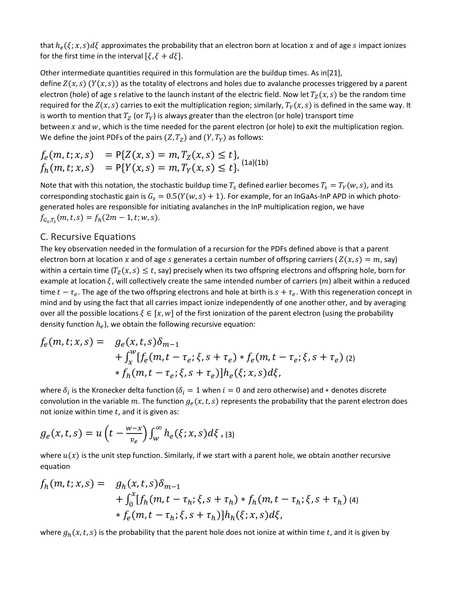that  $h_e(\xi; x, s) d\xi$  approximates the probability that an electron born at location x and of age s impact ionizes for the first time in the interval  $[\xi, \xi + d\xi]$ .

Other intermediate quantities required in this formulation are the buildup times. As in[21], define  $Z(x, s)$  ( $Y(x, s)$ ) as the totality of electrons and holes due to avalanche processes triggered by a parent electron (hole) of age s relative to the launch instant of the electric field. Now let  $T_z(x, s)$  be the random time required for the  $Z(x, s)$  carries to exit the multiplication region; similarly,  $T_Y(x, s)$  is defined in the same way. It is worth to mention that  $T_Z$  (or  $T_Y$ ) is always greater than the electron (or hole) transport time between  $x$  and  $w$ , which is the time needed for the parent electron (or hole) to exit the multiplication region. We define the joint PDFs of the pairs  $(Z, T_Z)$  and  $(Y, T_Y)$  as follows:

$$
f_e(m, t; x, s) = P\{Z(x, s) = m, T_Z(x, s) \le t\},
$$
  

$$
f_h(m, t; x, s) = P\{Y(x, s) = m, T_Y(x, s) \le t\}.
$$
<sup>(1a)(1b)</sup>

Note that with this notation, the stochastic buildup time  $T_s$  defined earlier becomes  $T_s = T_Y(w, s)$ , and its corresponding stochastic gain is  $G_s = 0.5(Y(w, s) + 1)$ . For example, for an InGaAs-InP APD in which photogenerated holes are responsible for initiating avalanches in the InP multiplication region, we have  $f_{G_S,T_S}(m, t, s) = f_h(2m - 1, t; w, s).$ 

#### C. Recursive Equations

The key observation needed in the formulation of a recursion for the PDFs defined above is that a parent electron born at location x and of age s generates a certain number of offspring carriers ( $Z(x, s) = m$ , say) within a certain time  $(T_z(x, s) \le t$ , say) precisely when its two offspring electrons and offspring hole, born for example at location  $\xi$ , will collectively create the same intended number of carriers (*m*) albeit within a reduced time  $t-\tau_e$ . The age of the two offspring electrons and hole at birth is  $s+\tau_e$ . With this regeneration concept in mind and by using the fact that all carries impact ionize independently of one another other, and by averaging over all the possible locations  $\xi \in [x, w]$  of the first ionization of the parent electron (using the probability density function  $h_e$ ), we obtain the following recursive equation:

$$
f_e(m, t; x, s) = g_e(x, t, s) \delta_{m-1} + \int_x^w [f_e(m, t - \tau_e; \xi, s + \tau_e) * f_e(m, t - \tau_e; \xi, s + \tau_e) \text{ (2)} * f_h(m, t - \tau_e; \xi, s + \tau_e)] h_e(\xi; x, s) d\xi,
$$

where  $\delta_i$  is the Kronecker delta function ( $\delta_i = 1$  when  $i = 0$  and zero otherwise) and \* denotes discrete convolution in the variable m. The function  $g_e(x, t, s)$  represents the probability that the parent electron does not ionize within time  $t$ , and it is given as:

$$
g_e(x,t,s) = u\left(t - \frac{w-x}{v_e}\right) \int_W^{\infty} h_e(\xi; x, s) d\xi ,
$$
 (3)

where  $u(x)$  is the unit step function. Similarly, if we start with a parent hole, we obtain another recursive equation

$$
f_h(m, t; x, s) = g_h(x, t, s) \delta_{m-1} + \int_0^x [f_h(m, t - \tau_h; \xi, s + \tau_h) * f_h(m, t - \tau_h; \xi, s + \tau_h) \tag{4} * f_e(m, t - \tau_h; \xi, s + \tau_h)] h_h(\xi; x, s) d\xi,
$$

where  $g_h(x, t, s)$  is the probability that the parent hole does not ionize at within time t, and it is given by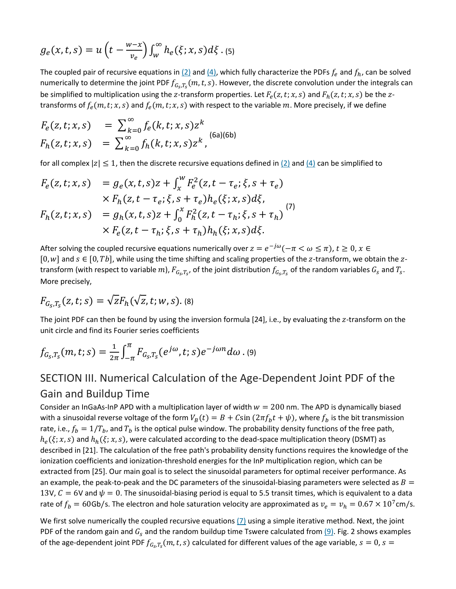$$
g_e(x,t,s) = u\left(t - \frac{w-x}{v_e}\right) \int_{w}^{\infty} h_e(\xi; x, s) d\xi
$$
 (5)

The coupled pair of recursive equations in  $(2)$  and  $(4)$ , which fully characterize the PDFs  $f_e$  and  $f_h$ , can be solved numerically to determine the joint PDF  $f_{G_S,T_S}(m, t, s)$ . However, the discrete convolution under the integrals can be simplified to multiplication using the z-transform properties. Let  $F_e(z, t; x, s)$  and  $F_h(z, t; x, s)$  be the ztransforms of  $f_e(m, t; x, s)$  and  $f_e(m, t; x, s)$  with respect to the variable m. More precisely, if we define

$$
F_e(z, t; x, s) = \sum_{k=0}^{\infty} f_e(k, t; x, s) z^k
$$
  
\n
$$
F_h(z, t; x, s) = \sum_{k=0}^{\infty} f_h(k, t; x, s) z^k,
$$
 (6a)(6b)

for all complex  $|z| \leq 1$ , then the discrete recursive equations defined in  $(2)$  and  $(4)$  can be simplified to

$$
F_e(z, t; x, s) = g_e(x, t, s)z + \int_x^w F_e^2(z, t - \tau_e; \xi, s + \tau_e) \times F_h(z, t - \tau_e; \xi, s + \tau_e) h_e(\xi; x, s) d\xi, F_h(z, t; x, s) = g_h(x, t, s)z + \int_0^x F_h^2(z, t - \tau_h; \xi, s + \tau_h) \times F_e(z, t - \tau_h; \xi, s + \tau_h) h_h(\xi; x, s) d\xi.
$$
 (7)

After solving the coupled recursive equations numerically over  $z = e^{-j\omega}(-\pi < \omega \le \pi)$ ,  $t \ge 0$ ,  $x \in$ [0, w] and  $s \in [0, Tb]$ , while using the time shifting and scaling properties of the z-transform, we obtain the ztransform (with respect to variable  $m$ ),  $F_{G_S,T_S}$ , of the joint distribution  $f_{G_S,T_S}$  of the random variables  $G_S$  and  $T_S$ . More precisely,

$$
F_{G_S,T_S}(z,t;s) = \sqrt{z} F_h(\sqrt{z},t;w,s)
$$
. (8)

The joint PDF can then be found by using the inversion formula  $[24]$ , i.e., by evaluating the z-transform on the unit circle and find its Fourier series coefficients

$$
f_{G_S,T_S}(m, t; s) = \frac{1}{2\pi} \int_{-\pi}^{\pi} F_{G_S,T_S}(e^{j\omega}, t; s) e^{-j\omega n} d\omega
$$
 (9)

## SECTION III. Numerical Calculation of the Age-Dependent Joint PDF of the Gain and Buildup Time

Consider an InGaAs-InP APD with a multiplication layer of width  $w = 200$  nm. The APD is dynamically biased with a sinusoidal reverse voltage of the form  $V_B(t) = B + C \sin (2\pi f_b t + \psi)$ , where  $f_b$  is the bit transmission rate, i.e.,  $f_b = 1/T_b$ , and  $T_b$  is the optical pulse window. The probability density functions of the free path,  $h_e(\xi; x, s)$  and  $h_h(\xi; x, s)$ , were calculated according to the dead-space multiplication theory (DSMT) as described in [21]. The calculation of the free path's probability density functions requires the knowledge of the ionization coefficients and ionization-threshold energies for the InP multiplication region, which can be extracted from [25]. Our main goal is to select the sinusoidal parameters for optimal receiver performance. As an example, the peak-to-peak and the DC parameters of the sinusoidal-biasing parameters were selected as  $B =$ 13V,  $C = 6V$  and  $\psi = 0$ . The sinusoidal-biasing period is equal to 5.5 transit times, which is equivalent to a data rate of  $f_b = 60$ Gb/s. The electron and hole saturation velocity are approximated as  $v_e = v_h = 0.67 \times 10^7$ cm/s.

We first solve numerically the coupled recursive equations  $(7)$  using a simple iterative method. Next, the joint PDF of the random gain and  $G_s$  and the random buildup time Tswere calculated from  $(9)$ . Fig. 2 shows examples of the age-dependent joint PDF  $f_{G_s,T_s}(m,t,s)$  calculated for different values of the age variable,  $s=0$ ,  $s=$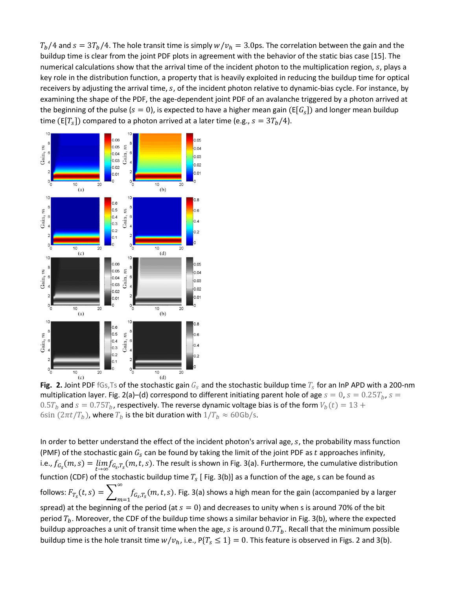$T_b/4$  and  $s = 3T_b/4$ . The hole transit time is simply  $w/v_h = 3.0$ ps. The correlation between the gain and the buildup time is clear from the joint PDF plots in agreement with the behavior of the static bias case [15]. The numerical calculations show that the arrival time of the incident photon to the multiplication region,  $s$ , plays a key role in the distribution function, a property that is heavily exploited in reducing the buildup time for optical receivers by adjusting the arrival time, s, of the incident photon relative to dynamic-bias cycle. For instance, by examining the shape of the PDF, the age-dependent joint PDF of an avalanche triggered by a photon arrived at the beginning of the pulse ( $s = 0$ ), is expected to have a higher mean gain (E[ $G<sub>s</sub>$ ]) and longer mean buildup time (E[T<sub>s</sub>]) compared to a photon arrived at a later time (e.g.,  $s = 3T_b/4$ ).



**Fig.** 2. Joint PDF fGs, Ts of the stochastic gain  $G_s$  and the stochastic buildup time  $T_s$  for an InP APD with a 200-nm multiplication layer. Fig. 2(a)–(d) correspond to different initiating parent hole of age  $s = 0$ ,  $s = 0.25T_b$ ,  $s =$  $0.5 T_b$  and  $s = 0.75 T_b$ , respectively. The reverse dynamic voltage bias is of the form  $V_b(t) = 13 + 100$ 6sin  $(2\pi t / T_b)$ , where  $T_b$  is the bit duration with  $1/T_b \approx 60$ Gb/s.

In order to better understand the effect of the incident photon's arrival age,  $s$ , the probability mass function (PMF) of the stochastic gain  $G_s$  can be found by taking the limit of the joint PDF as  $t$  approaches infinity, i.e.,  $f_{G_S}(m,s) = \lim_{t\to\infty} f_{G_S,T_S}(m,t,s)$ . The result is shown in Fig. 3(a). Furthermore, the cumulative distribution function (CDF) of the stochastic buildup time  $T_s$  [Fig. 3(b)] as a function of the age, s can be found as follows:  $F_{T_S}(t,s) = \sum_{m=1} f_{G_S,T_S}(m,t,s)$ ∞  $f_{G_s,T_s}(m,t,s)$ . Fig. 3(a) shows a high mean for the gain (accompanied by a larger spread) at the beginning of the period (at  $s = 0$ ) and decreases to unity when s is around 70% of the bit period  $T_b$ . Moreover, the CDF of the buildup time shows a similar behavior in Fig. 3(b), where the expected buildup approaches a unit of transit time when the age, s is around  $0.7T<sub>b</sub>$ . Recall that the minimum possible buildup time is the hole transit time  $w/v_h$ , i.e.,  $P{T_s \le 1} = 0$ . This feature is observed in Figs. 2 and 3(b).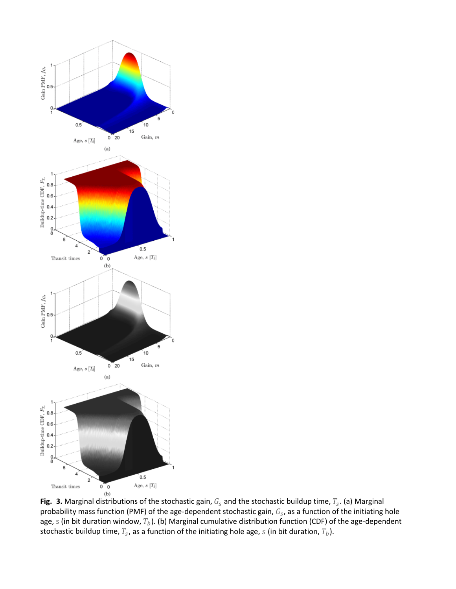

Fig. 3. Marginal distributions of the stochastic gain,  $G_S$  and the stochastic buildup time,  $T_S$ . (a) Marginal probability mass function (PMF) of the age-dependent stochastic gain,  $G_S$ , as a function of the initiating hole age, s (in bit duration window,  $T_b$ ). (b) Marginal cumulative distribution function (CDF) of the age-dependent stochastic buildup time,  $T_s$ , as a function of the initiating hole age,  $s$  (in bit duration,  $T_b$ ).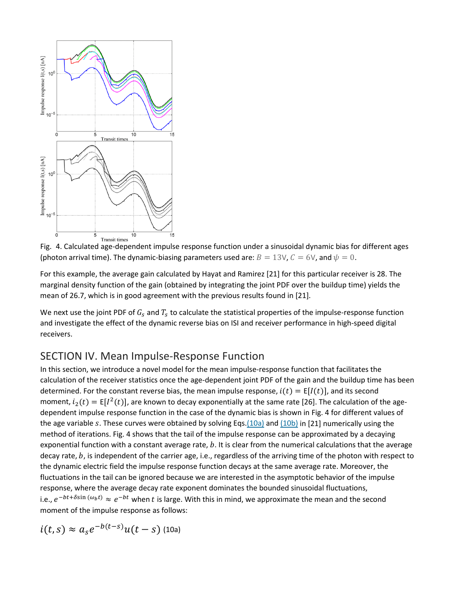

Fig. 4. Calculated age-dependent impulse response function under a sinusoidal dynamic bias for different ages (photon arrival time). The dynamic-biasing parameters used are:  $B = 13V$ ,  $C = 6V$ , and  $\psi = 0$ .

For this example, the average gain calculated by Hayat and Ramirez [21] for this particular receiver is 28. The marginal density function of the gain (obtained by integrating the joint PDF over the buildup time) yields the mean of 26.7, which is in good agreement with the previous results found in [21].

We next use the joint PDF of  $G_s$  and  $T_s$  to calculate the statistical properties of the impulse-response function and investigate the effect of the dynamic reverse bias on ISI and receiver performance in high-speed digital receivers.

### SECTION IV. Mean Impulse-Response Function

In this section, we introduce a novel model for the mean impulse-response function that facilitates the calculation of the receiver statistics once the age-dependent joint PDF of the gain and the buildup time has been determined. For the constant reverse bias, the mean impulse response,  $i(t) = E[I(t)]$ , and its second moment,  $i_2(t) = E[I^2(t)]$ , are known to decay exponentially at the same rate [26]. The calculation of the agedependent impulse response function in the case of the dynamic bias is shown in Fig. 4 for different values of the age variable s. These curves were obtained by solving Eqs[.\(10a\)](https://ieeexplore.ieee.org/document/#deqn10a) and [\(10b\)](https://ieeexplore.ieee.org/document/#deqn10b) in [21] numerically using the method of iterations. Fig. 4 shows that the tail of the impulse response can be approximated by a decaying exponential function with a constant average rate,  $b$ . It is clear from the numerical calculations that the average decay rate,  $b$ , is independent of the carrier age, i.e., regardless of the arriving time of the photon with respect to the dynamic electric field the impulse response function decays at the same average rate. Moreover, the fluctuations in the tail can be ignored because we are interested in the asymptotic behavior of the impulse response, where the average decay rate exponent dominates the bounded sinusoidal fluctuations, i.e.,  $e^{-bt+\delta\sin{(\omega_b t)}} \approx e^{-bt}$  when t is large. With this in mind, we approximate the mean and the second moment of the impulse response as follows:

$$
i(t,s) \approx a_s e^{-b(t-s)} u(t-s)
$$
 (10a)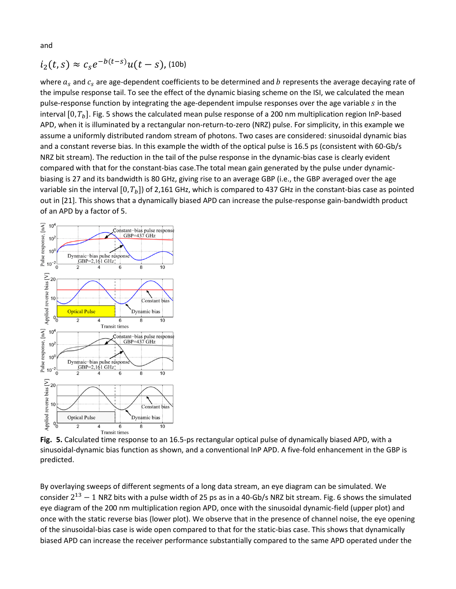and

$$
i_2(t,s) \approx c_s e^{-b(t-s)} u(t-s)
$$
, (10b)

where  $a_s$  and  $c_s$  are age-dependent coefficients to be determined and b represents the average decaying rate of the impulse response tail. To see the effect of the dynamic biasing scheme on the ISI, we calculated the mean pulse-response function by integrating the age-dependent impulse responses over the age variable s in the interval  $[0, T_h]$ . Fig. 5 shows the calculated mean pulse response of a 200 nm multiplication region InP-based APD, when it is illuminated by a rectangular non-return-to-zero (NRZ) pulse. For simplicity, in this example we assume a uniformly distributed random stream of photons. Two cases are considered: sinusoidal dynamic bias and a constant reverse bias. In this example the width of the optical pulse is 16.5 ps (consistent with 60-Gb/s NRZ bit stream). The reduction in the tail of the pulse response in the dynamic-bias case is clearly evident compared with that for the constant-bias case.The total mean gain generated by the pulse under dynamicbiasing is 27 and its bandwidth is 80 GHz, giving rise to an average GBP (i.e., the GBP averaged over the age variable sin the interval [0,  $T_b$ ]) of 2,161 GHz, which is compared to 437 GHz in the constant-bias case as pointed out in [21]. This shows that a dynamically biased APD can increase the pulse-response gain-bandwidth product of an APD by a factor of 5.



**Fig. 5.** Calculated time response to an 16.5-ps rectangular optical pulse of dynamically biased APD, with a sinusoidal-dynamic bias function as shown, and a conventional InP APD. A five-fold enhancement in the GBP is predicted.

By overlaying sweeps of different segments of a long data stream, an eye diagram can be simulated. We consider  $2^{13} - 1$  NRZ bits with a pulse width of 25 ps as in a 40-Gb/s NRZ bit stream. Fig. 6 shows the simulated eye diagram of the 200 nm multiplication region APD, once with the sinusoidal dynamic-field (upper plot) and once with the static reverse bias (lower plot). We observe that in the presence of channel noise, the eye opening of the sinusoidal-bias case is wide open compared to that for the static-bias case. This shows that dynamically biased APD can increase the receiver performance substantially compared to the same APD operated under the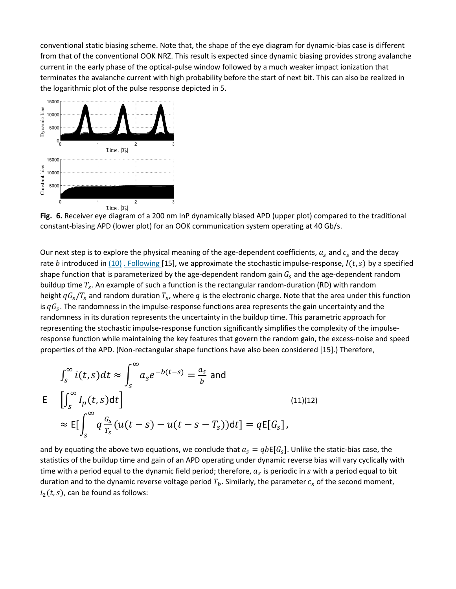conventional static biasing scheme. Note that, the shape of the eye diagram for dynamic-bias case is different from that of the conventional OOK NRZ. This result is expected since dynamic biasing provides strong avalanche current in the early phase of the optical-pulse window followed by a much weaker impact ionization that terminates the avalanche current with high probability before the start of next bit. This can also be realized in the logarithmic plot of the pulse response depicted in 5.



**Fig. 6.** Receiver eye diagram of a 200 nm InP dynamically biased APD (upper plot) compared to the traditional constant-biasing APD (lower plot) for an OOK communication system operating at 40 Gb/s.

Our next step is to explore the physical meaning of the age-dependent coefficients,  $a_s$  and  $c_s$  and the decay rate b introduced in  $(10)$ [. Following](https://ieeexplore.ieee.org/document/#deqn10b) [15], we approximate the stochastic impulse-response,  $I(t, s)$  by a specified shape function that is parameterized by the age-dependent random gain  $G_s$  and the age-dependent random buildup time  $T_s$ . An example of such a function is the rectangular random-duration (RD) with random height  $qG_s/T_s$  and random duration  $T_s$ , where q is the electronic charge. Note that the area under this function is  $qG<sub>s</sub>$ . The randomness in the impulse-response functions area represents the gain uncertainty and the randomness in its duration represents the uncertainty in the buildup time. This parametric approach for representing the stochastic impulse-response function significantly simplifies the complexity of the impulseresponse function while maintaining the key features that govern the random gain, the excess-noise and speed properties of the APD. (Non-rectangular shape functions have also been considered [15].) Therefore,

$$
\int_{S}^{\infty} i(t,s)dt \approx \int_{S}^{\infty} a_{s}e^{-b(t-s)} = \frac{a_{s}}{b} \text{ and}
$$
  
\n
$$
\mathsf{E} \quad \left[ \int_{S}^{\infty} I_{p}(t,s)dt \right]
$$
\n
$$
\approx \mathsf{E} \left[ \int_{S}^{\infty} q \frac{a_{s}}{T_{s}} (u(t-s) - u(t-s-T_{s})) dt \right] = q\mathsf{E}[G_{s}],
$$
\n(11)(12)

and by equating the above two equations, we conclude that  $a_s = qb\mathsf{E}[G_s]$ . Unlike the static-bias case, the statistics of the buildup time and gain of an APD operating under dynamic reverse bias will vary cyclically with time with a period equal to the dynamic field period; therefore,  $a_s$  is periodic in  $s$  with a period equal to bit duration and to the dynamic reverse voltage period  $T_b$ . Similarly, the parameter  $c_s$  of the second moment,  $i_2(t, s)$ , can be found as follows: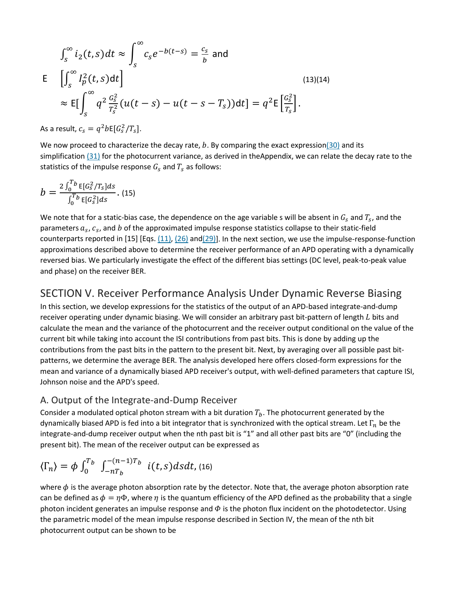$$
\int_{S}^{\infty} i_{2}(t,s)dt \approx \int_{S}^{\infty} c_{s}e^{-b(t-s)} = \frac{c_{s}}{b} \text{ and}
$$
  
\n
$$
\mathsf{E} \quad \left[ \int_{S}^{\infty} I_{p}^{2}(t,s)dt \right]
$$
\n
$$
\approx \mathsf{E} \left[ \int_{S}^{\infty} q^{2} \frac{G_{s}^{2}}{T_{s}^{2}} (u(t-s) - u(t-s-T_{s}))dt \right] = q^{2} \mathsf{E} \left[ \frac{G_{s}^{2}}{T_{s}} \right].
$$
\n(13)(14)

As a result,  $c_s = q^2 b \mathsf{E} [G_s^2 / T_s].$ 

We now proceed to characterize the decay rate,  $b$ . By comparing the exact expressio[n\(30\)](https://ieeexplore.ieee.org/document/#deqn30) and its simplification [\(31\)](https://ieeexplore.ieee.org/document/#deqn31) for the photocurrent variance, as derived in theAppendix, we can relate the decay rate to the statistics of the impulse response  $G_s$  and  $T_s$  as follows:

$$
b = \frac{2 \int_0^T b E[G_S^2 / T_S] ds}{\int_0^T b E[G_S^2] ds}.
$$
 (15)

We note that for a static-bias case, the dependence on the age variable s will be absent in  $G_s$  and  $T_s$ , and the parameters  $a_s$ ,  $c_s$ , and b of the approximated impulse response statistics collapse to their static-field counterparts reported in [15] [Eqs.  $(11)$ ,  $(26)$  and $(29)$ ]. In the next section, we use the impulse-response-function approximations described above to determine the receiver performance of an APD operating with a dynamically reversed bias. We particularly investigate the effect of the different bias settings (DC level, peak-to-peak value and phase) on the receiver BER.

### SECTION V. Receiver Performance Analysis Under Dynamic Reverse Biasing

In this section, we develop expressions for the statistics of the output of an APD-based integrate-and-dump receiver operating under dynamic biasing. We will consider an arbitrary past bit-pattern of length  $L$  bits and calculate the mean and the variance of the photocurrent and the receiver output conditional on the value of the current bit while taking into account the ISI contributions from past bits. This is done by adding up the contributions from the past bits in the pattern to the present bit. Next, by averaging over all possible past bitpatterns, we determine the average BER. The analysis developed here offers closed-form expressions for the mean and variance of a dynamically biased APD receiver's output, with well-defined parameters that capture ISI, Johnson noise and the APD's speed.

#### A. Output of the Integrate-and-Dump Receiver

Consider a modulated optical photon stream with a bit duration  $T_b$ . The photocurrent generated by the dynamically biased APD is fed into a bit integrator that is synchronized with the optical stream. Let  $\Gamma_n$  be the integrate-and-dump receiver output when the nth past bit is "1" and all other past bits are "0" (including the present bit). The mean of the receiver output can be expressed as

$$
\langle \Gamma_n \rangle = \phi \int_0^{T_b} \int_{-nT_b}^{-(n-1)T_b} i(t,s) ds dt, \text{(16)}
$$

where  $\phi$  is the average photon absorption rate by the detector. Note that, the average photon absorption rate can be defined as  $\phi = \eta \Phi$ , where  $\eta$  is the quantum efficiency of the APD defined as the probability that a single photon incident generates an impulse response and  $\Phi$  is the photon flux incident on the photodetector. Using the parametric model of the mean impulse response described in Section IV, the mean of the nth bit photocurrent output can be shown to be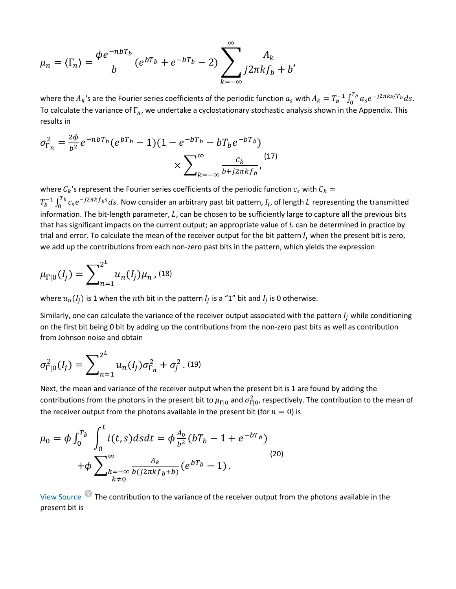$$
\mu_n = \langle \Gamma_n \rangle = \frac{\phi e^{-nbT_b}}{b} (e^{bT_b} + e^{-bT_b} - 2) \sum_{k=-\infty}^{\infty} \frac{A_k}{j2\pi k f_b + b'}
$$

where the  $A_k$ 's are the Fourier series coefficients of the periodic function  $a_s$  with  $A_k = T_b^{-1} \int_0^{T_b} a_s e^{-j2\pi ks/T_b} ds$ . To calculate the variance of  $\Gamma_n$ , we undertake a cyclostationary stochastic analysis shown in the Appendix. This results in

$$
\sigma_{\Gamma_n}^2 = \frac{2\phi}{b^2} e^{-nbT_b} (e^{bT_b} - 1)(1 - e^{-bT_b} - bT_b e^{-bT_b}) \times \sum_{k=-\infty}^{\infty} \frac{c_k}{b + j2\pi k f_b},
$$
\n<sup>(17)</sup>

where  $C_k$ 's represent the Fourier series coefficients of the periodic function  $c_s$  with  $C_k =$  $T_b^{-1} \int_0^{T_b} c_s e^{-j2\pi k f_b s} ds$ . Now consider an arbitrary past bit pattern,  $I_j$ , of length  $L$  representing the transmitted information. The bit-length parameter,  $L$ , can be chosen to be sufficiently large to capture all the previous bits that has significant impacts on the current output; an appropriate value of  $L$  can be determined in practice by trial and error. To calculate the mean of the receiver output for the bit pattern  $I_j$  when the present bit is zero, we add up the contributions from each non-zero past bits in the pattern, which yields the expression

$$
\mu_{\Gamma|0}(I_j) = \sum_{n=1}^{2^L} u_n(I_j) \mu_n \,, \text{(18)}
$$

where  $u_n(I_i)$  is 1 when the nth bit in the pattern  $I_i$  is a "1" bit and  $I_i$  is 0 otherwise.

Similarly, one can calculate the variance of the receiver output associated with the pattern  $I_i$  while conditioning on the first bit being 0 bit by adding up the contributions from the non-zero past bits as well as contribution from Johnson noise and obtain

$$
\sigma_{\Gamma|0}^2(I_j) = \sum_{n=1}^{2^L} u_n(I_j) \sigma_{\Gamma_n}^2 + \sigma_j^2 \, . \, (19)
$$

Next, the mean and variance of the receiver output when the present bit is 1 are found by adding the contributions from the photons in the present bit to  $\mu_{\Gamma|0}$  and  $\sigma_{\Gamma|0}^2$ , respectively. The contribution to the mean of the receiver output from the photons available in the present bit (for  $n = 0$ ) is

$$
\mu_0 = \phi \int_0^{T_b} \int_0^t i(t,s)dsdt = \phi \frac{A_0}{b^2} (bT_b - 1 + e^{-bT_b})
$$
  
+ 
$$
\phi \sum_{\substack{k=-\infty \\ k \neq 0}}^{\infty} \frac{A_k}{b(j2\pi k f_b + b)} (e^{bT_b} - 1).
$$
 (20)

View Source The contribution to the variance of the receiver output from the photons available in the present bit is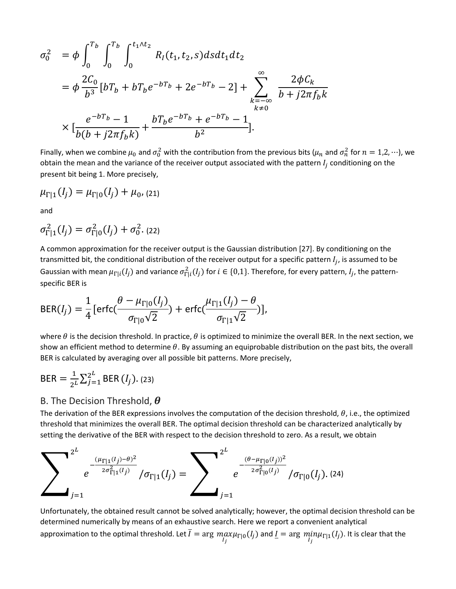$$
\sigma_0^2 = \phi \int_0^{T_b} \int_0^{T_b} \int_0^{t_1 \wedge t_2} R_I(t_1, t_2, s) ds dt_1 dt_2
$$
  
\n
$$
= \phi \frac{2C_0}{b^3} [bT_b + bT_b e^{-bT_b} + 2e^{-bT_b} - 2] + \sum_{\substack{k=-\infty \\ k \neq 0}}^{\infty} \frac{2\phi C_k}{b + j2\pi f_b k}
$$
  
\n
$$
\times \left[ \frac{e^{-bT_b} - 1}{b(b + j2\pi f_b k)} + \frac{bT_b e^{-bT_b} + e^{-bT_b} - 1}{b^2} \right].
$$

Finally, when we combine  $\mu_0$  and  $\sigma_0^2$  with the contribution from the previous bits ( $\mu_n$  and  $\sigma_n^2$  for  $n=1,2,...$ ), we obtain the mean and the variance of the receiver output associated with the pattern  $I_i$  conditioning on the present bit being 1. More precisely,

$$
\mu_{\Gamma|1}(I_j) = \mu_{\Gamma|0}(I_j) + \mu_0, (21)
$$

and

$$
\sigma_{\Gamma|1}^2(I_j) = \sigma_{\Gamma|0}^2(I_j) + \sigma_0^2. (22)
$$

A common approximation for the receiver output is the Gaussian distribution [27]. By conditioning on the transmitted bit, the conditional distribution of the receiver output for a specific pattern  $I_i$ , is assumed to be Gaussian with mean  $\mu_{\Gamma | i}(I_j)$  and variance  $\sigma^2_{\Gamma | i}(I_j)$  for  $i\in\{0,1\}.$  Therefore, for every pattern,  $I_j$ , the patternspecific BER is

$$
\text{BER}(I_j) = \frac{1}{4} \left[ \text{erfc}(\frac{\theta - \mu_{\Gamma|0}(I_j)}{\sigma_{\Gamma|0}\sqrt{2}}) + \text{erfc}(\frac{\mu_{\Gamma|1}(I_j) - \theta}{\sigma_{\Gamma|1}\sqrt{2}}) \right],
$$

where  $\theta$  is the decision threshold. In practice,  $\theta$  is optimized to minimize the overall BER. In the next section, we show an efficient method to determine  $\theta$ . By assuming an equiprobable distribution on the past bits, the overall BER is calculated by averaging over all possible bit patterns. More precisely,

$$
BER = \frac{1}{2^L} \sum_{j=1}^{2^L} BER(I_j)
$$
. (23)

#### B. The Decision Threshold,  $\boldsymbol{\theta}$

The derivation of the BER expressions involves the computation of the decision threshold,  $\theta$ , i.e., the optimized threshold that minimizes the overall BER. The optimal decision threshold can be characterized analytically by setting the derivative of the BER with respect to the decision threshold to zero. As a result, we obtain



Unfortunately, the obtained result cannot be solved analytically; however, the optimal decision threshold can be determined numerically by means of an exhaustive search. Here we report a convenient analytical approximation to the optimal threshold. Let  $I = \arg\max_{I_j} \mu_{\Gamma|0}(I_j)$  and  $\underline{I} = \arg\min_{I_j} \mu_{\Gamma|1}(I_j)$ . It is clear that the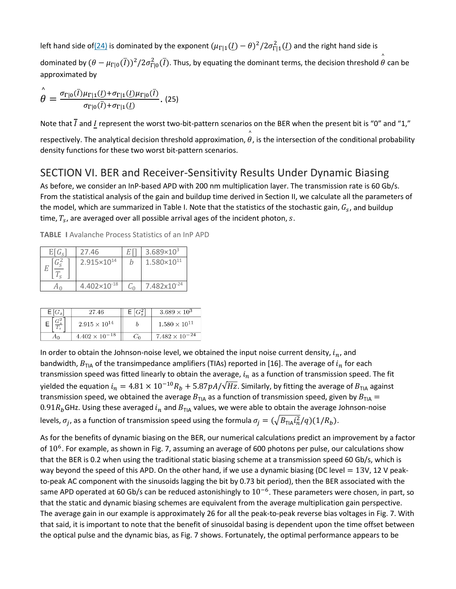left hand side of<u>(24)</u> is dominated by the exponent  $(\mu_{\Gamma|1}(L) - \theta)^2/2\sigma_{\Gamma|1}^2(L)$  and the right hand side is

dominated by  $(\theta-\mu_{\Gamma|0}(\bar{I}))^2/2\sigma_{\Gamma|0}^2(\bar{I})$ . Thus, by equating the dominant terms, the decision threshold  $\hat{\theta}$  can be approximated by

$$
\overset{\wedge}{\theta} = \frac{\sigma_{\Gamma|0}(\bar{I})\mu_{\Gamma|1}(\underline{I}) + \sigma_{\Gamma|1}(\underline{I})\mu_{\Gamma|0}(\bar{I})}{\sigma_{\Gamma|0}(\bar{I}) + \sigma_{\Gamma|1}(\underline{I})}.
$$
(25)

Note that  $\bar{l}$  and  $I$  represent the worst two-bit-pattern scenarios on the BER when the present bit is "0" and "1,"

respectively. The analytical decision threshold approximation,  $\hat{\theta}$ , is the intersection of the conditional probability density functions for these two worst bit-pattern scenarios.

### SECTION VI. BER and Receiver-Sensitivity Results Under Dynamic Biasing

As before, we consider an InP-based APD with 200 nm multiplication layer. The transmission rate is 60 Gb/s. From the statistical analysis of the gain and buildup time derived in Section II, we calculate all the parameters of the model, which are summarized in Table I. Note that the statistics of the stochastic gain,  $G_s$ , and buildup time,  $T_s$ , are averaged over all possible arrival ages of the incident photon, s.

| $E[G_{S}]$ | 27.46                  | $3.689 \times 10^3$     |
|------------|------------------------|-------------------------|
|            | 2.915×10 <sup>14</sup> | $1.580\times10^{11}$    |
|            | $4.402\times10^{-18}$  | 7.482x10 <sup>-24</sup> |

**TABLE I** Avalanche Process Statistics of an InP APD

| $E[G_s]$       | 27.46                   |    | $3.689 \times 10^{3}$   |
|----------------|-------------------------|----|-------------------------|
| $\sim$ 2       | $2.915 \times 10^{14}$  |    | $1.580 \times 10^{11}$  |
| A <sub>0</sub> | $4.402 \times 10^{-18}$ | ن. | $7.482 \times 10^{-24}$ |

In order to obtain the Johnson-noise level, we obtained the input noise current density,  $i_n$ , and bandwidth,  $B_{TIA}$  of the transimpedance amplifiers (TIAs) reported in [16]. The average of  $i_n$  for each transmission speed was fitted linearly to obtain the average,  $i_n$  as a function of transmission speed. The fit yielded the equation  $i_n = 4.81 \times 10^{-10} R_b + 5.87 pA/\sqrt{Hz}$ . Similarly, by fitting the average of  $B_{TIA}$  against transmission speed, we obtained the average  $B_{TIA}$  as a function of transmission speed, given by  $B_{TIA}$  = 0.91 $R_b$ GHz. Using these averaged  $i_n$  and  $B<sub>TIA</sub>$  values, we were able to obtain the average Johnson-noise levels,  $\sigma_i$ , as a function of transmission speed using the formula  $\sigma_i = (\sqrt{B_{TIA} i_n^2/q})(1/R_b)$ .

As for the benefits of dynamic biasing on the BER, our numerical calculations predict an improvement by a factor of  $10^6$ . For example, as shown in Fig. 7, assuming an average of 600 photons per pulse, our calculations show that the BER is 0.2 when using the traditional static biasing scheme at a transmission speed 60 Gb/s, which is way beyond the speed of this APD. On the other hand, if we use a dynamic biasing (DC level  $= 13V$ , 12 V peakto-peak AC component with the sinusoids lagging the bit by 0.73 bit period), then the BER associated with the same APD operated at 60 Gb/s can be reduced astonishingly to  $10^{-6}$ . These parameters were chosen, in part, so that the static and dynamic biasing schemes are equivalent from the average multiplication gain perspective. The average gain in our example is approximately 26 for all the peak-to-peak reverse bias voltages in Fig. 7. With that said, it is important to note that the benefit of sinusoidal basing is dependent upon the time offset between the optical pulse and the dynamic bias, as Fig. 7 shows. Fortunately, the optimal performance appears to be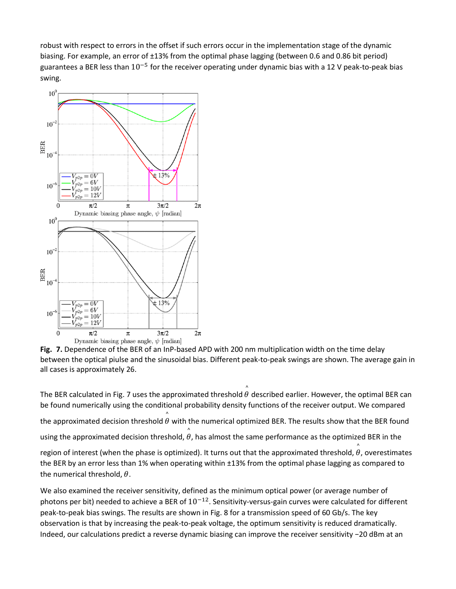robust with respect to errors in the offset if such errors occur in the implementation stage of the dynamic biasing. For example, an error of ±13% from the optimal phase lagging (between 0.6 and 0.86 bit period) guarantees a BER less than  $10^{-5}$  for the receiver operating under dynamic bias with a 12 V peak-to-peak bias swing.



**Fig. 7.** Dependence of the BER of an InP-based APD with 200 nm multiplication width on the time delay between the optical piulse and the sinusoidal bias. Different peak-to-peak swings are shown. The average gain in all cases is approximately 26.

The BER calculated in Fig. 7 uses the approximated threshold  $\overset{\circ}{\theta}$  described earlier. However, the optimal BER can be found numerically using the conditional probability density functions of the receiver output. We compared the approximated decision threshold  $\overset{\circ}{\theta}$  with the numerical optimized BER. The results show that the BER found using the approximated decision threshold,  $\overset{\circ}{\theta}$ , has almost the same performance as the optimized BER in the region of interest (when the phase is optimized). It turns out that the approximated threshold,  $\overset{\circ}{\theta}$ , overestimates the BER by an error less than 1% when operating within ±13% from the optimal phase lagging as compared to the numerical threshold,  $\theta$ .

We also examined the receiver sensitivity, defined as the minimum optical power (or average number of photons per bit) needed to achieve a BER of  $10^{-12}$ . Sensitivity-versus-gain curves were calculated for different peak-to-peak bias swings. The results are shown in Fig. 8 for a transmission speed of 60 Gb/s. The key observation is that by increasing the peak-to-peak voltage, the optimum sensitivity is reduced dramatically. Indeed, our calculations predict a reverse dynamic biasing can improve the receiver sensitivity −20 dBm at an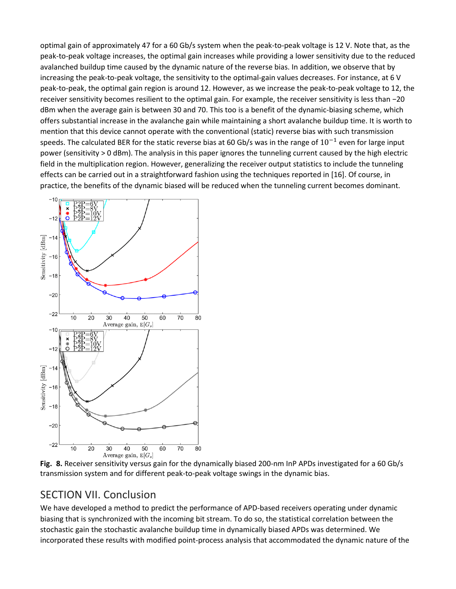optimal gain of approximately 47 for a 60 Gb/s system when the peak-to-peak voltage is 12 V. Note that, as the peak-to-peak voltage increases, the optimal gain increases while providing a lower sensitivity due to the reduced avalanched buildup time caused by the dynamic nature of the reverse bias. In addition, we observe that by increasing the peak-to-peak voltage, the sensitivity to the optimal-gain values decreases. For instance, at 6 V peak-to-peak, the optimal gain region is around 12. However, as we increase the peak-to-peak voltage to 12, the receiver sensitivity becomes resilient to the optimal gain. For example, the receiver sensitivity is less than −20 dBm when the average gain is between 30 and 70. This too is a benefit of the dynamic-biasing scheme, which offers substantial increase in the avalanche gain while maintaining a short avalanche buildup time. It is worth to mention that this device cannot operate with the conventional (static) reverse bias with such transmission speeds. The calculated BER for the static reverse bias at 60 Gb/s was in the range of  $10^{-1}$  even for large input power (sensitivity > 0 dBm). The analysis in this paper ignores the tunneling current caused by the high electric field in the multiplication region. However, generalizing the receiver output statistics to include the tunneling effects can be carried out in a straightforward fashion using the techniques reported in [16]. Of course, in practice, the benefits of the dynamic biased will be reduced when the tunneling current becomes dominant.



**Fig. 8.** Receiver sensitivity versus gain for the dynamically biased 200-nm InP APDs investigated for a 60 Gb/s transmission system and for different peak-to-peak voltage swings in the dynamic bias.

### SECTION VII. Conclusion

We have developed a method to predict the performance of APD-based receivers operating under dynamic biasing that is synchronized with the incoming bit stream. To do so, the statistical correlation between the stochastic gain the stochastic avalanche buildup time in dynamically biased APDs was determined. We incorporated these results with modified point-process analysis that accommodated the dynamic nature of the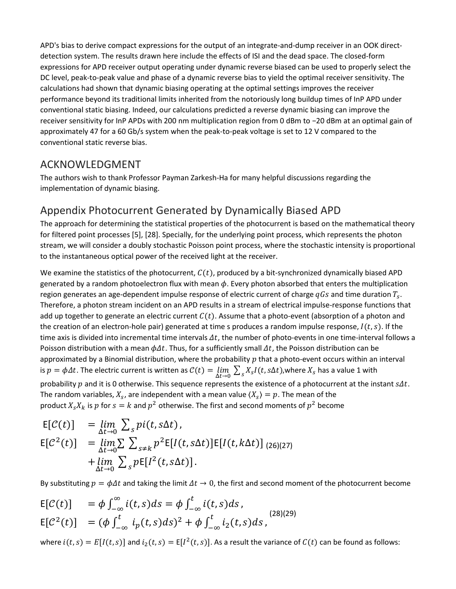APD's bias to derive compact expressions for the output of an integrate-and-dump receiver in an OOK directdetection system. The results drawn here include the effects of ISI and the dead space. The closed-form expressions for APD receiver output operating under dynamic reverse biased can be used to properly select the DC level, peak-to-peak value and phase of a dynamic reverse bias to yield the optimal receiver sensitivity. The calculations had shown that dynamic biasing operating at the optimal settings improves the receiver performance beyond its traditional limits inherited from the notoriously long buildup times of InP APD under conventional static biasing. Indeed, our calculations predicted a reverse dynamic biasing can improve the receiver sensitivity for InP APDs with 200 nm multiplication region from 0 dBm to −20 dBm at an optimal gain of approximately 47 for a 60 Gb/s system when the peak-to-peak voltage is set to 12 V compared to the conventional static reverse bias.

### ACKNOWLEDGMENT

The authors wish to thank Professor Payman Zarkesh-Ha for many helpful discussions regarding the implementation of dynamic biasing.

### Appendix Photocurrent Generated by Dynamically Biased APD

The approach for determining the statistical properties of the photocurrent is based on the mathematical theory for filtered point processes [5], [28]. Specially, for the underlying point process, which represents the photon stream, we will consider a doubly stochastic Poisson point process, where the stochastic intensity is proportional to the instantaneous optical power of the received light at the receiver.

We examine the statistics of the photocurrent,  $C(t)$ , produced by a bit-synchronized dynamically biased APD generated by a random photoelectron flux with mean  $\phi$ . Every photon absorbed that enters the multiplication region generates an age-dependent impulse response of electric current of charge  $qGs$  and time duration  $T_s$ . Therefore, a photon stream incident on an APD results in a stream of electrical impulse-response functions that add up together to generate an electric current  $C(t)$ . Assume that a photo-event (absorption of a photon and the creation of an electron-hole pair) generated at time s produces a random impulse response,  $I(t, s)$ . If the time axis is divided into incremental time intervals  $\Delta t$ , the number of photo-events in one time-interval follows a Poisson distribution with a mean  $\phi \Delta t$ . Thus, for a sufficiently small  $\Delta t$ , the Poisson distribution can be approximated by a Binomial distribution, where the probability  $p$  that a photo-event occurs within an interval is  $p = \phi \Delta t$ . The electric current is written as  $C(t) = \lim_{\Delta t \to 0} \sum_s X_s I(t, s \Delta t)$ , where  $X_s$  has a value 1 with probability  $p$  and it is 0 otherwise. This sequence represents the existence of a photocurrent at the instant  $s\Delta t$ . The random variables,  $X_s$ , are independent with a mean value  $\langle X_s \rangle = p$ . The mean of the product  $X_s X_k$  is p for  $s = k$  and  $p^2$  otherwise. The first and second moments of  $p^2$  become

$$
\begin{array}{lll} \mathsf{E}[\mathcal{C}(t)] & = \lim_{\Delta t \to 0} \sum_{s} p(i(t, s\Delta t), \\ \mathsf{E}[\mathcal{C}^2(t)] & = \lim_{\Delta t \to 0} \sum_{s \neq k} \sum_{s \neq k} p^2 \mathsf{E}[I(t, s\Delta t)] \mathsf{E}[I(t, k\Delta t)] \end{array} \tag{26)(27)} \\ & + \lim_{\Delta t \to 0} \sum_{s} p \mathsf{E}[I^2(t, s\Delta t)].
$$

By substituting  $p = \phi \Delta t$  and taking the limit  $\Delta t \to 0$ , the first and second moment of the photocurrent become

$$
\begin{aligned} \mathsf{E}[\mathcal{C}(t)] &= \phi \int_{-\infty}^{\infty} i(t,s)ds = \phi \int_{-\infty}^{t} i(t,s)ds \,, \\ \mathsf{E}[\mathcal{C}^2(t)] &= (\phi \int_{-\infty}^{t} i_p(t,s)ds)^2 + \phi \int_{-\infty}^{t} i_2(t,s)ds \,, \end{aligned} \tag{28}
$$

where  $i(t, s) = E[I(t, s)]$  and  $i_2(t, s) = E[I^2(t, s)]$ . As a result the variance of  $C(t)$  can be found as follows: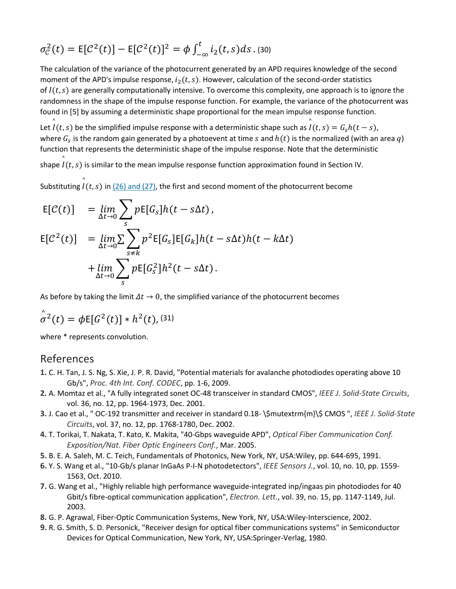$$
\sigma_{\mathcal{C}}^2(t) = \mathsf{E}[\mathcal{C}^2(t)] - \mathsf{E}[\mathcal{C}^2(t)]^2 = \phi \int_{-\infty}^t i_2(t, s) \, ds \, . \, (30)
$$

The calculation of the variance of the photocurrent generated by an APD requires knowledge of the second moment of the APD's impulse response,  $i_2(t, s)$ . However, calculation of the second-order statistics of  $I(t, s)$  are generally computationally intensive. To overcome this complexity, one approach is to ignore the randomness in the shape of the impulse response function. For example, the variance of the photocurrent was found in [5] by assuming a deterministic shape proportional for the mean impulse response function.

Let  $\hat{l}(t,s)$  be the simplified impulse response with a deterministic shape such as  $\hat{l}(t,s) = G_s h(t-s)$ , where  $G_s$  is the random gain generated by a photoevent at time s and  $h(t)$  is the normalized (with an area q) function that represents the deterministic shape of the impulse response. Note that the deterministic

shape  $\overset{\circ}{I}(t,s)$  is similar to the mean impulse response function approximation found in Section IV.

Substituting  $\hat{\hat{I}}(t,s)$  in <u>(26) and (27)</u>, the first and second moment of the photocurrent become

$$
\begin{aligned}\n\mathsf{E}[\mathcal{C}(t)] &= \lim_{\Delta t \to 0} \sum_{s} p \mathsf{E}[G_s] h(t - s \Delta t), \\
\mathsf{E}[\mathcal{C}^2(t)] &= \lim_{\Delta t \to 0} \sum_{s \neq k} p^2 \mathsf{E}[G_s] \mathsf{E}[G_k] h(t - s \Delta t) h(t - k \Delta t) \\
&\quad + \lim_{\Delta t \to 0} \sum_{s} p \mathsf{E}[G_s^2] h^2(t - s \Delta t).\n\end{aligned}
$$

As before by taking the limit  $\Delta t \rightarrow 0$ , the simplified variance of the photocurrent becomes

$$
\hat{\sigma}^2(t) = \phi \mathsf{E}[G^2(t)] * h^2(t),
$$
 (31)

where \* represents convolution.

#### References

- **1.** C. H. Tan, J. S. Ng, S. Xie, J. P. R. David, "Potential materials for avalanche photodiodes operating above 10 Gb/s", *Proc. 4th Int. Conf. CODEC*, pp. 1-6, 2009.
- **2.** A. Momtaz et al., "A fully integrated sonet OC-48 transceiver in standard CMOS", *IEEE J. Solid-State Circuits*, vol. 36, no. 12, pp. 1964-1973, Dec. 2001.
- **3.** J. Cao et al., " OC-192 transmitter and receiver in standard 0.18- \\$mutextrm{m}\\$ CMOS ", *IEEE J. Solid-State Circuits*, vol. 37, no. 12, pp. 1768-1780, Dec. 2002.
- **4.** T. Torikai, T. Nakata, T. Kato, K. Makita, "40-Gbps waveguide APD", *Optical Fiber Communication Conf. Exposition/Nat. Fiber Optic Engineers Conf.*, Mar. 2005.
- **5.** B. E. A. Saleh, M. C. Teich, Fundamentals of Photonics, New York, NY, USA:Wiley, pp. 644-695, 1991.
- **6.** Y. S. Wang et al., "10-Gb/s planar InGaAs P-I-N photodetectors", *IEEE Sensors J.*, vol. 10, no. 10, pp. 1559- 1563, Oct. 2010.
- **7.** G. Wang et al., "Highly reliable high performance waveguide-integrated inp/ingaas pin photodiodes for 40 Gbit/s fibre-optical communication application", *Electron. Lett.*, vol. 39, no. 15, pp. 1147-1149, Jul. 2003.
- **8.** G. P. Agrawal, Fiber-Optic Communication Systems, New York, NY, USA:Wiley-Interscience, 2002.
- **9.** R. G. Smith, S. D. Personick, "Receiver design for optical fiber communications systems" in Semiconductor Devices for Optical Communication, New York, NY, USA:Springer-Verlag, 1980.